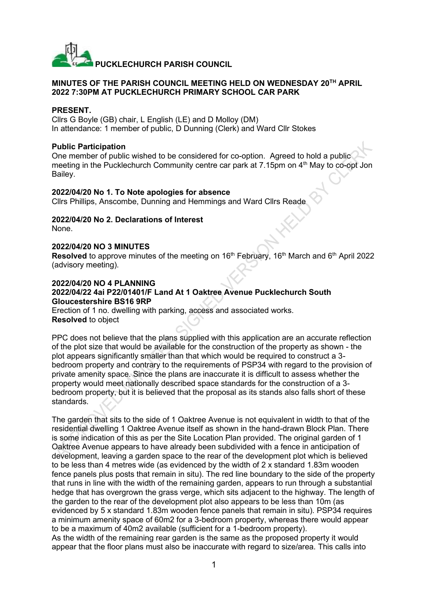

#### **MINUTES OF THE PARISH COUNCIL MEETING HELD ON WEDNESDAY 20TH APRIL 2022 7:30PM AT PUCKLECHURCH PRIMARY SCHOOL CAR PARK**

#### **PRESENT.**

Cllrs G Boyle (GB) chair, L English (LE) and D Molloy (DM) In attendance: 1 member of public, D Dunning (Clerk) and Ward Cllr Stokes

#### **Public Participation**

One member of public wished to be considered for co-option. Agreed to hold a public meeting in the Pucklechurch Community centre car park at  $7.15$ pm on  $4<sup>th</sup>$  May to co-opt Jon Bailey.

#### **2022/04/20 No 1. To Note apologies for absence**

Cllrs Phillips, Anscombe, Dunning and Hemmings and Ward Cllrs Reade

## **2022/04/20 No 2. Declarations of Interest**

None.

#### **2022/04/20 NO 3 MINUTES**

**Resolved** to approve minutes of the meeting on 16<sup>th</sup> February, 16<sup>th</sup> March and 6<sup>th</sup> April 2022 (advisory meeting).

#### **2022/04/20 NO 4 PLANNING**

#### **2022/04/22 4ai P22/01401/F Land At 1 Oaktree Avenue Pucklechurch South Gloucestershire BS16 9RP**

Erection of 1 no. dwelling with parking, access and associated works. **Resolved** to object

PPC does not believe that the plans supplied with this application are an accurate reflection of the plot size that would be available for the construction of the property as shown - the plot appears significantly smaller than that which would be required to construct a 3 bedroom property and contrary to the requirements of PSP34 with regard to the provision of private amenity space. Since the plans are inaccurate it is difficult to assess whether the property would meet nationally described space standards for the construction of a 3 bedroom property, but it is believed that the proposal as its stands also falls short of these standards.

The garden that sits to the side of 1 Oaktree Avenue is not equivalent in width to that of the residential dwelling 1 Oaktree Avenue itself as shown in the hand-drawn Block Plan. There is some indication of this as per the Site Location Plan provided. The original garden of 1 Oaktree Avenue appears to have already been subdivided with a fence in anticipation of development, leaving a garden space to the rear of the development plot which is believed to be less than 4 metres wide (as evidenced by the width of 2 x standard 1.83m wooden fence panels plus posts that remain in situ). The red line boundary to the side of the property that runs in line with the width of the remaining garden, appears to run through a substantial hedge that has overgrown the grass verge, which sits adjacent to the highway. The length of the garden to the rear of the development plot also appears to be less than 10m (as evidenced by 5 x standard 1.83m wooden fence panels that remain in situ). PSP34 requires a minimum amenity space of 60m2 for a 3-bedroom property, whereas there would appear to be a maximum of 40m2 available (sufficient for a 1-bedroom property). As the width of the remaining rear garden is the same as the proposed property it would

appear that the floor plans must also be inaccurate with regard to size/area. This calls into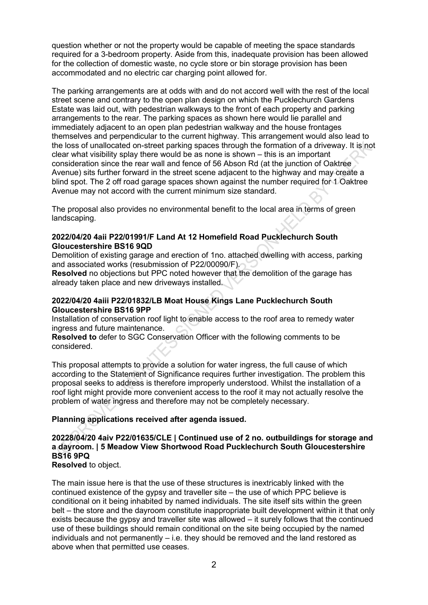question whether or not the property would be capable of meeting the space standards required for a 3-bedroom property. Aside from this, inadequate provision has been allowed for the collection of domestic waste, no cycle store or bin storage provision has been accommodated and no electric car charging point allowed for.

The parking arrangements are at odds with and do not accord well with the rest of the local street scene and contrary to the open plan design on which the Pucklechurch Gardens Estate was laid out, with pedestrian walkways to the front of each property and parking arrangements to the rear. The parking spaces as shown here would lie parallel and immediately adjacent to an open plan pedestrian walkway and the house frontages themselves and perpendicular to the current highway. This arrangement would also lead to the loss of unallocated on-street parking spaces through the formation of a driveway. It is not clear what visibility splay there would be as none is shown – this is an important consideration since the rear wall and fence of 56 Abson Rd (at the junction of Oaktree Avenue) sits further forward in the street scene adjacent to the highway and may create a blind spot. The 2 off road garage spaces shown against the number required for 1 Oaktree Avenue may not accord with the current minimum size standard.

The proposal also provides no environmental benefit to the local area in terms of green landscaping.

#### **2022/04/20 4aii P22/01991/F Land At 12 Homefield Road Pucklechurch South Gloucestershire BS16 9QD**

Demolition of existing garage and erection of 1no. attached dwelling with access, parking and associated works (resubmission of P22/00090/F).

**Resolved** no objections but PPC noted however that the demolition of the garage has already taken place and new driveways installed.

#### **2022/04/20 4aiii P22/01832/LB Moat House Kings Lane Pucklechurch South Gloucestershire BS16 9PP**

Installation of conservation roof light to enable access to the roof area to remedy water ingress and future maintenance.

**Resolved to** defer to SGC Conservation Officer with the following comments to be considered.

This proposal attempts to provide a solution for water ingress, the full cause of which according to the Statement of Significance requires further investigation. The problem this proposal seeks to address is therefore improperly understood. Whilst the installation of a roof light might provide more convenient access to the roof it may not actually resolve the problem of water ingress and therefore may not be completely necessary.

#### **Planning applications received after agenda issued.**

## **20228/04/20 4aiv P22/01635/CLE | Continued use of 2 no. outbuildings for storage and a dayroom. | 5 Meadow View Shortwood Road Pucklechurch South Gloucestershire BS16 9PQ**

**Resolved** to object.

The main issue here is that the use of these structures is inextricably linked with the continued existence of the gypsy and traveller site – the use of which PPC believe is conditional on it being inhabited by named individuals. The site itself sits within the green belt – the store and the dayroom constitute inappropriate built development within it that only exists because the gypsy and traveller site was allowed – it surely follows that the continued use of these buildings should remain conditional on the site being occupied by the named individuals and not permanently – i.e. they should be removed and the land restored as above when that permitted use ceases.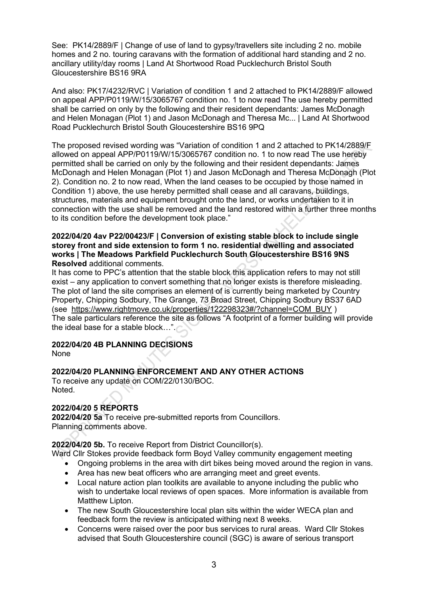See: PK14/2889/F | Change of use of land to gypsy/travellers site including 2 no. mobile homes and 2 no. touring caravans with the formation of additional hard standing and 2 no. ancillary utility/day rooms | Land At Shortwood Road Pucklechurch Bristol South Gloucestershire BS16 9RA

And also: PK17/4232/RVC | Variation of condition 1 and 2 attached to PK14/2889/F allowed on appeal APP/P0119/W/15/3065767 condition no. 1 to now read The use hereby permitted shall be carried on only by the following and their resident dependants: James McDonagh and Helen Monagan (Plot 1) and Jason McDonagh and Theresa Mc... | Land At Shortwood Road Pucklechurch Bristol South Gloucestershire BS16 9PQ

The proposed revised wording was "Variation of condition 1 and 2 attached to PK14/2889/F allowed on appeal APP/P0119/W/15/3065767 condition no. 1 to now read The use hereby permitted shall be carried on only by the following and their resident dependants: James McDonagh and Helen Monagan (Plot 1) and Jason McDonagh and Theresa McDonagh (Plot 2). Condition no. 2 to now read, When the land ceases to be occupied by those named in Condition 1) above, the use hereby permitted shall cease and all caravans, buildings, structures, materials and equipment brought onto the land, or works undertaken to it in connection with the use shall be removed and the land restored within a further three months to its condition before the development took place."

#### **2022/04/20 4av P22/00423/F | Conversion of existing stable block to include single storey front and side extension to form 1 no. residential dwelling and associated works | The Meadows Parkfield Pucklechurch South Gloucestershire BS16 9NS Resolved** additional comments.

It has come to PPC's attention that the stable block this application refers to may not still exist – any application to convert something that no longer exists is therefore misleading. The plot of land the site comprises an element of is currently being marketed by Country Property, Chipping Sodbury, The Grange, 73 Broad Street, Chipping Sodbury BS37 6AD (see [https://www.rightmove.co.uk/properties/122298323#/?channel=COM\\_BUY](https://www.rightmove.co.uk/properties/122298323#/?channel=COM_BUY) ) The sale particulars reference the site as follows "A footprint of a former building will provide the ideal base for a stable block…".

# **2022/04/20 4B PLANNING DECISIONS**

None

## **2022/04/20 PLANNING ENFORCEMENT AND ANY OTHER ACTIONS**

To receive any update on COM/22/0130/BOC. Noted.

## **2022/04/20 5 REPORTS**

**2022/04/20 5a** To receive pre-submitted reports from Councillors. Planning comments above.

**2022/04/20 5b.** To receive Report from District Councillor(s).

- Ward Cllr Stokes provide feedback form Boyd Valley community engagement meeting
	- Ongoing problems in the area with dirt bikes being moved around the region in vans.
	- Area has new beat officers who are arranging meet and greet events.
	- Local nature action plan toolkits are available to anyone including the public who wish to undertake local reviews of open spaces. More information is available from Matthew Lipton.
	- The new South Gloucestershire local plan sits within the wider WECA plan and feedback form the review is anticipated withing next 8 weeks.
	- Concerns were raised over the poor bus services to rural areas. Ward Cllr Stokes advised that South Gloucestershire council (SGC) is aware of serious transport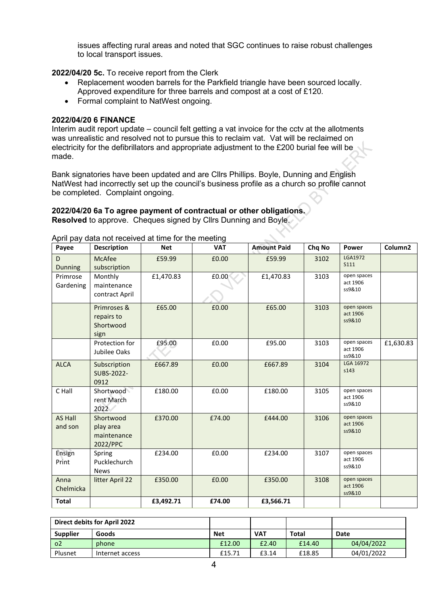issues affecting rural areas and noted that SGC continues to raise robust challenges to local transport issues.

**2022/04/20 5c.** To receive report from the Clerk

- Replacement wooden barrels for the Parkfield triangle have been sourced locally. Approved expenditure for three barrels and compost at a cost of £120.
- Formal complaint to NatWest ongoing.

#### **2022/04/20 6 FINANCE**

Interim audit report update – council felt getting a vat invoice for the cctv at the allotments was unrealistic and resolved not to pursue this to reclaim vat. Vat will be reclaimed on electricity for the defibrillators and appropriate adjustment to the £200 burial fee will be made.

Bank signatories have been updated and are Cllrs Phillips. Boyle, Dunning and English NatWest had incorrectly set up the council's business profile as a church so profile cannot be completed. Complaint ongoing.

## **2022/04/20 6a To agree payment of contractual or other obligations.**

**Resolved** to approve. Cheques signed by Cllrs Dunning and Boyle.

| Payee                     | <b>Description</b>                                | <b>Net</b> | <b>VAT</b> | <b>Amount Paid</b> | Chq No | <b>Power</b>                      | Column <sub>2</sub> |
|---------------------------|---------------------------------------------------|------------|------------|--------------------|--------|-----------------------------------|---------------------|
| D<br><b>Dunning</b>       | McAfee<br>subscription                            | £59.99     | £0.00      | £59.99             | 3102   | LGA1972<br><b>S111</b>            |                     |
| Primrose<br>Gardening     | Monthly<br>maintenance<br>contract April          | £1,470.83  | £0.00      | £1,470.83          | 3103   | open spaces<br>act 1906<br>ss9&10 |                     |
|                           | Primroses &<br>repairs to<br>Shortwood<br>sign    | £65.00     | £0.00      | £65.00             | 3103   | open spaces<br>act 1906<br>ss9&10 |                     |
|                           | Protection for<br>Jubilee Oaks                    | £95.00     | £0.00      | £95.00             | 3103   | open spaces<br>act 1906<br>ss9&10 | £1,630.83           |
| <b>ALCA</b>               | Subscription<br>SUBS-2022-<br>0912                | £667.89    | £0.00      | £667.89            | 3104   | LGA 16972<br>s143                 |                     |
| C Hall                    | Shortwood<br>rent March<br>2022                   | £180.00    | £0.00      | £180.00            | 3105   | open spaces<br>act 1906<br>ss9&10 |                     |
| <b>AS Hall</b><br>and son | Shortwood<br>play area<br>maintenance<br>2022/PPC | £370.00    | £74.00     | £444.00            | 3106   | open spaces<br>act 1906<br>ss9&10 |                     |
| Ensign<br>Print           | Spring<br>Pucklechurch<br><b>News</b>             | £234.00    | £0.00      | £234.00            | 3107   | open spaces<br>act 1906<br>ss9&10 |                     |
| Anna<br>Chelmicka         | litter April 22                                   | £350.00    | £0.00      | £350.00            | 3108   | open spaces<br>act 1906<br>ss9&10 |                     |
| <b>Total</b>              |                                                   | £3,492.71  | £74.00     | £3,566.71          |        |                                   |                     |

April pay data not received at time for the meeting

| <b>Direct debits for April 2022</b> |                 |            |            |        |            |
|-------------------------------------|-----------------|------------|------------|--------|------------|
| <b>Supplier</b>                     | Goods           | <b>Net</b> | <b>VAT</b> | Total  | Date       |
| $^{\circ}$                          | phone           | £12.00     | £2.40      | £14.40 | 04/04/2022 |
| Plusnet                             | Internet access | £15.71     | £3.14      | £18.85 | 04/01/2022 |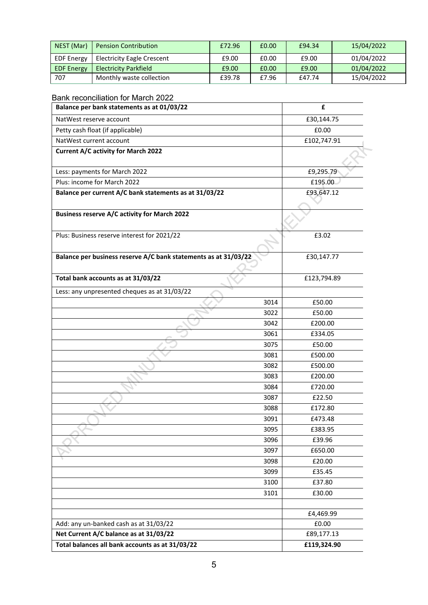| NEST (Mar)        | <b>Pension Contribution</b>       | £72.96 | £0.00 | £94.34 | 15/04/2022 |  |
|-------------------|-----------------------------------|--------|-------|--------|------------|--|
| <b>EDF Energy</b> | <b>Electricity Eagle Crescent</b> | £9.00  | £0.00 | £9.00  | 01/04/2022 |  |
| <b>EDF Energy</b> | <b>Electricity Parkfield</b>      | £9.00  | £0.00 | £9.00  | 01/04/2022 |  |
| 707               | Monthly waste collection          | £39.78 | £7.96 | £47.74 | 15/04/2022 |  |

| Balance per bank statements as at 01/03/22                      |      | £           |
|-----------------------------------------------------------------|------|-------------|
| NatWest reserve account                                         |      | £30,144.75  |
| Petty cash float (if applicable)                                |      | £0.00       |
| NatWest current account                                         |      | £102,747.91 |
| <b>Current A/C activity for March 2022</b>                      |      |             |
| Less: payments for March 2022                                   |      | £9,295.79   |
| Plus: income for March 2022                                     |      | £195.00     |
| Balance per current A/C bank statements as at 31/03/22          |      | £93,647.12  |
| <b>Business reserve A/C activity for March 2022</b>             |      |             |
| Plus: Business reserve interest for 2021/22                     |      | £3.02       |
| Balance per business reserve A/C bank statements as at 31/03/22 |      | £30,147.77  |
| Total bank accounts as at 31/03/22                              |      | £123,794.89 |
| Less: any unpresented cheques as at 31/03/22                    |      |             |
|                                                                 | 3014 | £50.00      |
|                                                                 | 3022 | £50.00      |
|                                                                 | 3042 | £200.00     |
|                                                                 | 3061 | £334.05     |
|                                                                 | 3075 | £50.00      |
|                                                                 | 3081 | £500.00     |
|                                                                 | 3082 | £500.00     |
|                                                                 | 3083 | £200.00     |
|                                                                 | 3084 | £720.00     |
|                                                                 | 3087 | £22.50      |
|                                                                 | 3088 | £172.80     |
|                                                                 | 3091 | £473.48     |
|                                                                 | 3095 | £383.95     |
|                                                                 | 3096 | £39.96      |
|                                                                 | 3097 | £650.00     |
|                                                                 | 3098 | £20.00      |
|                                                                 | 3099 | £35.45      |
|                                                                 | 3100 | £37.80      |
|                                                                 | 3101 | £30.00      |
|                                                                 |      | £4,469.99   |
| Add: any un-banked cash as at 31/03/22                          |      | £0.00       |
| Net Current A/C balance as at 31/03/22                          |      | £89,177.13  |
| Total balances all bank accounts as at 31/03/22                 |      | £119,324.90 |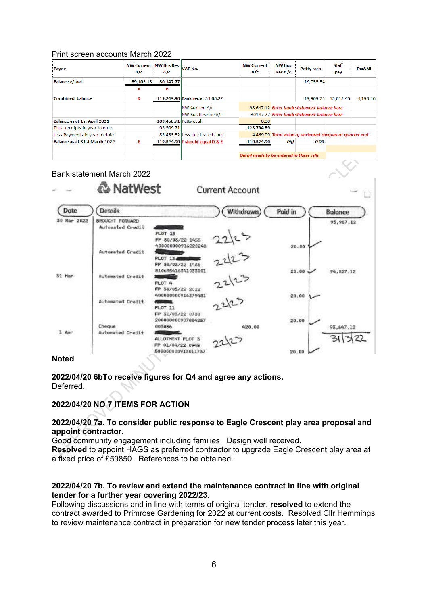#### Print screen accounts March 2022

| Payee                          | A/c       | <b>NW Current   NW Bus Res  </b><br>A/c | <b>VAT No.</b>                  | <b>NW Current</b><br>A/c | <b>NW Bus</b><br>Res A/c                                 | <b>Petty cash</b> | Staff<br>pay | Tax&NI   |
|--------------------------------|-----------|-----------------------------------------|---------------------------------|--------------------------|----------------------------------------------------------|-------------------|--------------|----------|
| <b>Balance c/fwd</b>           | 89,102.13 | 30.147.77                               |                                 |                          |                                                          | 19,935.54         |              |          |
|                                | А         | в                                       |                                 |                          |                                                          |                   |              |          |
| <b>Combined balance</b>        | D         |                                         | 119,249.90 Bank rec at 31 03.22 |                          |                                                          | 19,969.75         | 13,013.45    | 4,198.46 |
|                                |           |                                         | <b>INW Current A/c</b>          |                          | 93.647.12 Enter bank statement balance here              |                   |              |          |
|                                |           |                                         | <b>INW Bus Reserve A/c</b>      |                          | 30147.77 Enter bank statement balance here               |                   |              |          |
| Balance as at 1st April 2021   |           | 109,468.71 Petty cash                   |                                 | 0.00                     |                                                          |                   |              |          |
| Plus: receipts in year to date |           | 93,309.71                               |                                 | 123,794.89               |                                                          |                   |              |          |
| Less Payments in year to date  |           |                                         | 83,453.52 Less: uncleared chgs  |                          | 4.469.99 Total value of uncleared cheques at quarter end |                   |              |          |
| Balance as at 31st March 2022  | Е         |                                         | 119,324.90 F should equal D & E | 119,324.90               | Diff                                                     | 0.00              |              |          |
|                                |           |                                         |                                 |                          |                                                          |                   |              |          |
|                                |           |                                         |                                 |                          | Detail needs to be entered in these cells                |                   |              |          |

Bank statement March 2022 & NatWest **Current Account** Date **Details Withdrawn** Poid in **Balance** 30 Mar 2022 BROUGHT EORWARD 93,987.12 Automated Credit PLOT 15 FP 30/03/22 1455 400000000916220248 20.00 22/23<br>22/23 **Automated Credit** PLOT 15. FP 50/03/22 1436 810695416341033001 20.00 94,027.12 31 Mar Automated Credit PLOT<sub>4</sub> FP 30/03/22 2012 400000000916379481 20.00  $2212$ Automated Credit PLOT 11 FP 31/03/22 0730 200000000907884257 20.00 003086 Cheque 420.00 93,647.12 1 Apr Automated Credit ALLOTMENT PLOT 3 311322 FP 01/04/22 0945 500000000913011737 20.00

#### **Noted**

**2022/04/20 6bTo receive figures for Q4 and agree any actions.** Deferred.

### **2022/04/20 NO 7 ITEMS FOR ACTION**

#### **2022/04/20 7a. To consider public response to Eagle Crescent play area proposal and appoint contractor.**

Good community engagement including families. Design well received. **Resolved** to appoint HAGS as preferred contractor to upgrade Eagle Crescent play area at a fixed price of £59850. References to be obtained.

#### **2022/04/20 7b. To review and extend the maintenance contract in line with original tender for a further year covering 2022/23.**

Following discussions and in line with terms of original tender, **resolved** to extend the contract awarded to Primrose Gardening for 2022 at current costs. Resolved Cllr Hemmings to review maintenance contract in preparation for new tender process later this year.